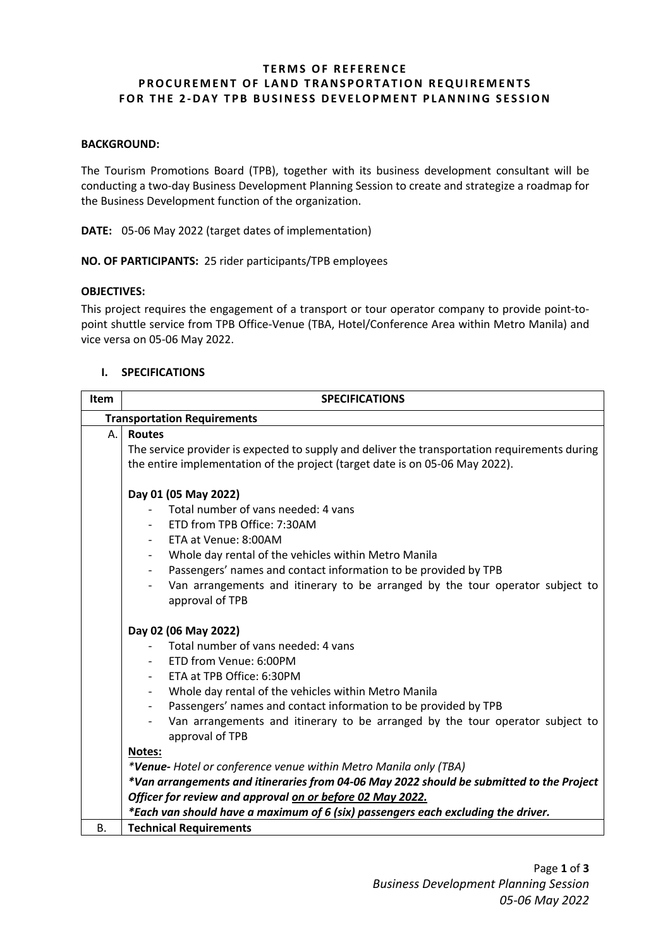# **TERMS OF REFERENCE PROCUREMENT OF LAND TRANSPORTATION REQUIREMENTS FOR THE 2 -DAY TPB BUSINESS DEVELOPMENT PLANNING SESSION**

#### **BACKGROUND:**

The Tourism Promotions Board (TPB), together with its business development consultant will be conducting a two-day Business Development Planning Session to create and strategize a roadmap for the Business Development function of the organization.

**DATE:** 05-06 May 2022 (target dates of implementation)

**NO. OF PARTICIPANTS:** 25 rider participants/TPB employees

#### **OBJECTIVES:**

This project requires the engagement of a transport or tour operator company to provide point-topoint shuttle service from TPB Office-Venue (TBA, Hotel/Conference Area within Metro Manila) and vice versa on 05-06 May 2022.

#### **I. SPECIFICATIONS**

| Item                               | <b>SPECIFICATIONS</b>                                                                                                                                                                                                                                                                                                                                                                                                                                                                                                                                                                      |  |  |
|------------------------------------|--------------------------------------------------------------------------------------------------------------------------------------------------------------------------------------------------------------------------------------------------------------------------------------------------------------------------------------------------------------------------------------------------------------------------------------------------------------------------------------------------------------------------------------------------------------------------------------------|--|--|
| <b>Transportation Requirements</b> |                                                                                                                                                                                                                                                                                                                                                                                                                                                                                                                                                                                            |  |  |
| А.                                 | <b>Routes</b><br>The service provider is expected to supply and deliver the transportation requirements during<br>the entire implementation of the project (target date is on 05-06 May 2022).                                                                                                                                                                                                                                                                                                                                                                                             |  |  |
|                                    | Day 01 (05 May 2022)<br>Total number of vans needed: 4 vans<br>ETD from TPB Office: 7:30AM<br>- ETA at Venue: 8:00AM<br>Whole day rental of the vehicles within Metro Manila<br>Passengers' names and contact information to be provided by TPB<br>$\overline{\phantom{a}}$<br>Van arrangements and itinerary to be arranged by the tour operator subject to<br>approval of TPB                                                                                                                                                                                                            |  |  |
|                                    | Day 02 (06 May 2022)<br>Total number of vans needed: 4 vans<br>- ETD from Venue: 6:00PM<br>ETA at TPB Office: 6:30PM<br>Whole day rental of the vehicles within Metro Manila<br>Passengers' names and contact information to be provided by TPB<br>Van arrangements and itinerary to be arranged by the tour operator subject to<br>approval of TPB<br>Notes:<br>*Venue- Hotel or conference venue within Metro Manila only (TBA)<br>*Van arrangements and itineraries from 04-06 May 2022 should be submitted to the Project<br>Officer for review and approval on or before 02 May 2022. |  |  |
|                                    | *Each van should have a maximum of 6 (six) passengers each excluding the driver.                                                                                                                                                                                                                                                                                                                                                                                                                                                                                                           |  |  |
| <b>B.</b>                          | <b>Technical Requirements</b>                                                                                                                                                                                                                                                                                                                                                                                                                                                                                                                                                              |  |  |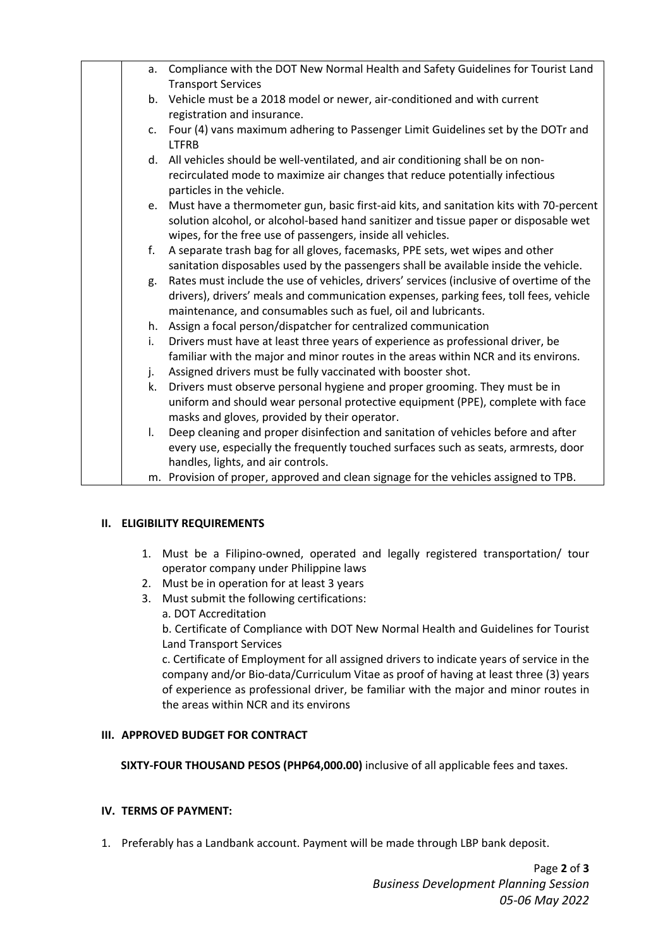| a.           | Compliance with the DOT New Normal Health and Safety Guidelines for Tourist Land                                                                                      |
|--------------|-----------------------------------------------------------------------------------------------------------------------------------------------------------------------|
|              | <b>Transport Services</b>                                                                                                                                             |
|              | b. Vehicle must be a 2018 model or newer, air-conditioned and with current                                                                                            |
|              | registration and insurance.                                                                                                                                           |
| c.           | Four (4) vans maximum adhering to Passenger Limit Guidelines set by the DOTr and                                                                                      |
|              | <b>LTFRB</b>                                                                                                                                                          |
|              | d. All vehicles should be well-ventilated, and air conditioning shall be on non-                                                                                      |
|              | recirculated mode to maximize air changes that reduce potentially infectious                                                                                          |
|              | particles in the vehicle.                                                                                                                                             |
|              | e. Must have a thermometer gun, basic first-aid kits, and sanitation kits with 70-percent                                                                             |
|              | solution alcohol, or alcohol-based hand sanitizer and tissue paper or disposable wet                                                                                  |
|              | wipes, for the free use of passengers, inside all vehicles.                                                                                                           |
| f.           | A separate trash bag for all gloves, facemasks, PPE sets, wet wipes and other                                                                                         |
|              | sanitation disposables used by the passengers shall be available inside the vehicle.                                                                                  |
| g.           | Rates must include the use of vehicles, drivers' services (inclusive of overtime of the                                                                               |
|              | drivers), drivers' meals and communication expenses, parking fees, toll fees, vehicle                                                                                 |
|              | maintenance, and consumables such as fuel, oil and lubricants.                                                                                                        |
| i.           | h. Assign a focal person/dispatcher for centralized communication                                                                                                     |
|              | Drivers must have at least three years of experience as professional driver, be<br>familiar with the major and minor routes in the areas within NCR and its environs. |
|              | Assigned drivers must be fully vaccinated with booster shot.                                                                                                          |
| j.<br>k.     | Drivers must observe personal hygiene and proper grooming. They must be in                                                                                            |
|              | uniform and should wear personal protective equipment (PPE), complete with face                                                                                       |
|              | masks and gloves, provided by their operator.                                                                                                                         |
| $\mathsf{L}$ | Deep cleaning and proper disinfection and sanitation of vehicles before and after                                                                                     |
|              | every use, especially the frequently touched surfaces such as seats, armrests, door                                                                                   |
|              | handles, lights, and air controls.                                                                                                                                    |
|              | m. Provision of proper, approved and clean signage for the vehicles assigned to TPB.                                                                                  |
|              |                                                                                                                                                                       |

## **II. ELIGIBILITY REQUIREMENTS**

- 1. Must be a Filipino-owned, operated and legally registered transportation/ tour operator company under Philippine laws
- 2. Must be in operation for at least 3 years
- 3. Must submit the following certifications:
	- a. DOT Accreditation

b. Certificate of Compliance with DOT New Normal Health and Guidelines for Tourist Land Transport Services

c. Certificate of Employment for all assigned drivers to indicate years of service in the company and/or Bio-data/Curriculum Vitae as proof of having at least three (3) years of experience as professional driver, be familiar with the major and minor routes in the areas within NCR and its environs

# **III. APPROVED BUDGET FOR CONTRACT**

**SIXTY-FOUR THOUSAND PESOS (PHP64,000.00)** inclusive of all applicable fees and taxes.

# **IV. TERMS OF PAYMENT:**

1. Preferably has a Landbank account. Payment will be made through LBP bank deposit.